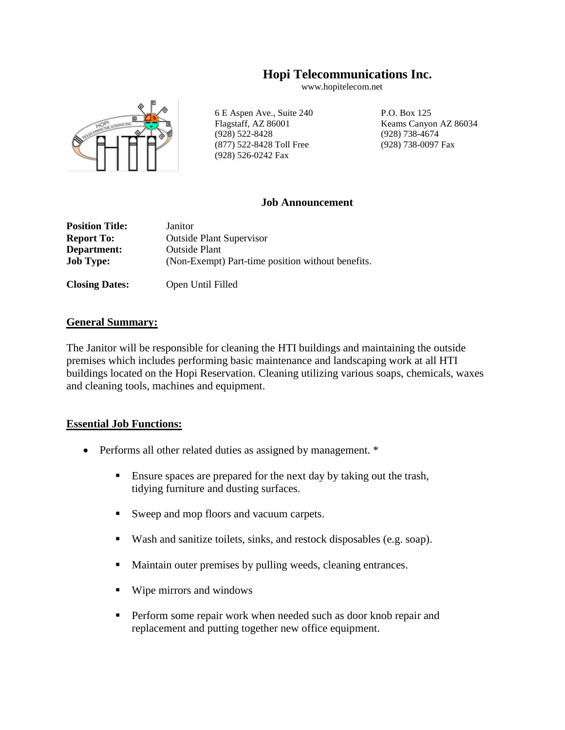# **Hopi Telecommunications Inc.**

www.hopitelecom.net



6 E Aspen Ave., Suite 240 P.O. Box 125 Flagstaff, AZ 86001 Keams Canyon AZ 86034 (928) 522-8428 (928) 738-4674 (877) 522-8428 Toll Free (928) 738-0097 Fax (928) 526-0242 Fax

### **Job Announcement**

| <b>Position Title:</b> | Janitor                                           |  |  |  |
|------------------------|---------------------------------------------------|--|--|--|
| <b>Report To:</b>      | <b>Outside Plant Supervisor</b>                   |  |  |  |
| Department:            | <b>Outside Plant</b>                              |  |  |  |
| <b>Job Type:</b>       | (Non-Exempt) Part-time position without benefits. |  |  |  |
|                        |                                                   |  |  |  |

**Closing Dates:** Open Until Filled

### **General Summary:**

The Janitor will be responsible for cleaning the HTI buildings and maintaining the outside premises which includes performing basic maintenance and landscaping work at all HTI buildings located on the Hopi Reservation. Cleaning utilizing various soaps, chemicals, waxes and cleaning tools, machines and equipment.

## **Essential Job Functions:**

- Performs all other related duties as assigned by management. \*
	- Ensure spaces are prepared for the next day by taking out the trash, tidying furniture and dusting surfaces.
	- Sweep and mop floors and vacuum carpets.
	- Wash and sanitize toilets, sinks, and restock disposables (e.g. soap).
	- Maintain outer premises by pulling weeds, cleaning entrances.
	- Wipe mirrors and windows
	- **•** Perform some repair work when needed such as door knob repair and replacement and putting together new office equipment.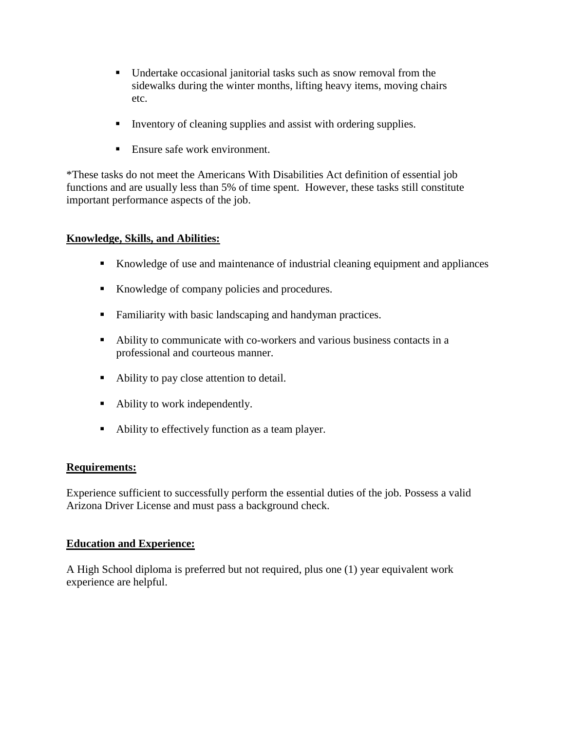- Undertake occasional janitorial tasks such as snow removal from the sidewalks during the winter months, lifting heavy items, moving chairs etc.
- Inventory of cleaning supplies and assist with ordering supplies.
- Ensure safe work environment.

\*These tasks do not meet the Americans With Disabilities Act definition of essential job functions and are usually less than 5% of time spent. However, these tasks still constitute important performance aspects of the job.

# **Knowledge, Skills, and Abilities:**

- Knowledge of use and maintenance of industrial cleaning equipment and appliances
- Knowledge of company policies and procedures.
- Familiarity with basic landscaping and handyman practices.
- Ability to communicate with co-workers and various business contacts in a professional and courteous manner.
- Ability to pay close attention to detail.
- Ability to work independently.
- Ability to effectively function as a team player.

## **Requirements:**

Experience sufficient to successfully perform the essential duties of the job. Possess a valid Arizona Driver License and must pass a background check.

## **Education and Experience:**

A High School diploma is preferred but not required, plus one (1) year equivalent work experience are helpful.